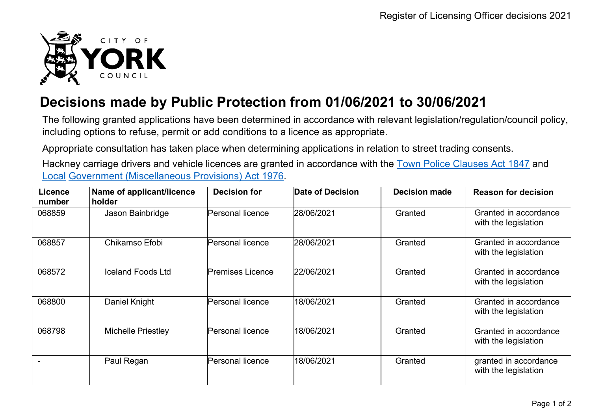

## **Decisions made by Public Protection from 01/06/2021 to 30/06/2021**

The following granted applications have been determined in accordance with relevant legislation/regulation/council policy, including options to refuse, permit or add conditions to a licence as appropriate.

Appropriate consultation has taken place when determining applications in relation to street trading consents.

Hackney carriage drivers and vehicle licences are granted in accordance with the Town Police [Clauses](http://www.legislation.gov.uk/ukpga/Vict/10-11/89) Act 1847 and [Local](http://www.legislation.gov.uk/ukpga/1976/57) [Government \(Miscellaneous Provisions\) Act 1976.](http://www.legislation.gov.uk/ukpga/1976/57)

| <b>Licence</b><br>number | Name of applicant/licence<br>holder | <b>Decision for</b>     | <b>Date of Decision</b> | <b>Decision made</b> | <b>Reason for decision</b>                    |
|--------------------------|-------------------------------------|-------------------------|-------------------------|----------------------|-----------------------------------------------|
| 068859                   | Jason Bainbridge                    | Personal licence        | 28/06/2021              | Granted              | Granted in accordance<br>with the legislation |
| 068857                   | Chikamso Efobi                      | Personal licence        | 28/06/2021              | Granted              | Granted in accordance<br>with the legislation |
| 068572                   | <b>Iceland Foods Ltd</b>            | <b>Premises Licence</b> | 22/06/2021              | Granted              | Granted in accordance<br>with the legislation |
| 068800                   | Daniel Knight                       | Personal licence        | 18/06/2021              | Granted              | Granted in accordance<br>with the legislation |
| 068798                   | <b>Michelle Priestley</b>           | Personal licence        | 18/06/2021              | Granted              | Granted in accordance<br>with the legislation |
|                          | Paul Regan                          | Personal licence        | 18/06/2021              | Granted              | granted in accordance<br>with the legislation |